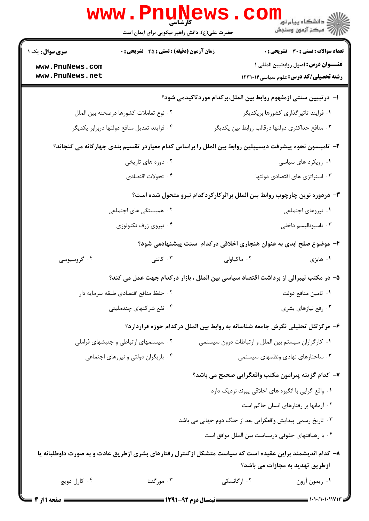|                                             | حضرت علی(ع): دانش راهبر نیکویی برای ایمان است                                                            |                                                                                |                                              |
|---------------------------------------------|----------------------------------------------------------------------------------------------------------|--------------------------------------------------------------------------------|----------------------------------------------|
| <b>سری سوال :</b> یک ۱                      | زمان آزمون (دقیقه) : تستی : 45 آتشریحی : 0                                                               |                                                                                | <b>تعداد سوالات : تستي : 30 ٪ تشريحي : 0</b> |
| www.PnuNews.com                             |                                                                                                          |                                                                                | <b>عنـــوان درس:</b> اصول روابطبين المللي ١  |
| www.PnuNews.net                             |                                                                                                          |                                                                                | <b>رشته تحصیلی/کد درس:</b> علوم سیاسی1۲۳۱۰۱۴ |
|                                             |                                                                                                          | ا– درتبیین سنتی ازمفهوم روابط بین الملل،برکدام موردتاکیدمی شود؟                |                                              |
|                                             | ٠٢ نوع تعاملات كشورها درصحنه بين الملل                                                                   | ۰۱ فرایند تاثیرگذاری کشورها بریکدیگر                                           |                                              |
| ۰۴ فرايند تعديل منافع دولتها دربرابر يكديگر |                                                                                                          | ۰۳ منافع حداكثرى دولتها درقالب روابط بين يكديگر                                |                                              |
|                                             | ۲–  تامپسون نحوه پیشرفت دیسیپلین روابط بین الملل را براساس کدام معیاردر تقسیم بندی چهارگانه می گنجاند؟   |                                                                                |                                              |
| ۰۲ دوره های تاریخی                          |                                                                                                          | ٠١ رويكرد هاى سياسى                                                            |                                              |
| ۰۴ تحولات اقتصادي                           |                                                                                                          | ۰۳ استراتژی های اقتصادی دولتها                                                 |                                              |
|                                             |                                                                                                          | ۳- دردوره نوین چارچوب روابط بین الملل براثرکارکردکدام نیرو متحول شده است؟      |                                              |
| ۲.  همبستگی های اجتماعی                     |                                                                                                          | ۰۱ نیروهای اجتماعی                                                             |                                              |
|                                             | ۰۴ نیروی ژرف تکنولوژی                                                                                    |                                                                                | ۰۳ ناسیونالیسم داخلی                         |
|                                             |                                                                                                          | ۴– موضوع صلح ابدی به عنوان هنجاری اخلاقی درکدام سنت پیشنهادمی شود؟             |                                              |
| ۰۴ گروسیوسی                                 | ۰۳ کانتی                                                                                                 | ۰۲ ماکیاولی                                                                    | ۰۱ هابزی                                     |
|                                             | ۵– در مکتب لیبرالی از برداشت اقتصاد سیاسی بین الملل ، بازار درکدام جهت عمل می کند؟                       |                                                                                |                                              |
|                                             | ٠٢ حفظ منافع اقتصادي طبقه سرمايه دار                                                                     |                                                                                | ٠١ تامين منافع دولت                          |
|                                             | ۰۴ نفع شرکتهای چندملیتی                                                                                  |                                                                                | ۰۳ رفع نیازهای بشری                          |
|                                             |                                                                                                          | ۶– مرکز ثقل تحلیلی نگرش جامعه شناسانه به روابط بین الملل درکدام حوزه قراردارد؟ |                                              |
|                                             | ۰۲ سیستمهای ارتباطی و جنبشهای فراملی                                                                     | ٠١ كاركزاران سيستم بين الملل و ارتباطات درون سيستمى                            |                                              |
|                                             | ۰۴ بازیگران دولتی و نیروهای اجتماعی                                                                      |                                                                                | ۰۳ ساختارهای نهادی ونظمهای سیستمی            |
|                                             |                                                                                                          | ٧– كدام گزينه پيرامون مكتب واقعگرايي صحيح مي باشد؟                             |                                              |
|                                             |                                                                                                          | ۰۱ واقع گرایی با انگیزه های اخلاقی پیوند نزدیک دارد                            |                                              |
|                                             |                                                                                                          |                                                                                | ۰۲ آرمانها بر رفتارهای انسان حاکم است        |
|                                             |                                                                                                          | ۰۳ تاریخ رسمی پیدایش واقعگرایی بعد از جنگ دوم جهانی می باشد                    |                                              |
|                                             |                                                                                                          | ۰۴ با رهیافتهای حقوقی درسیاست بین الملل موافق است                              |                                              |
|                                             | ۸– کدام اندیشمند براین عقیده است که سیاست متشکل ازکنترل رفتارهای بشری ازطریق عادت و به صورت داوطلبانه یا |                                                                                | ازطریق تهدید به مجازات می باشد؟              |
| ۰۴ کارل دويچ                                | ۰۳ مورگنتا                                                                                               | ۰۲ ارگانسکی                                                                    | ٠١. ريمون آرون                               |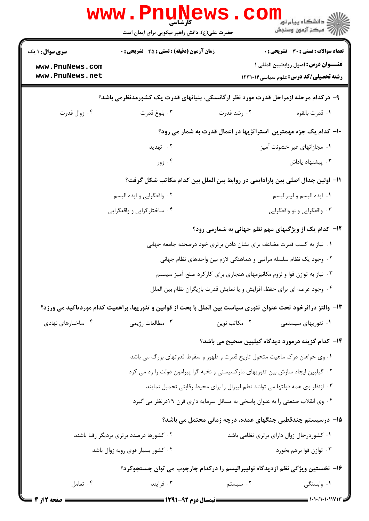| <b>سری سوال : ۱ یک</b>                  | <b>زمان آزمون (دقیقه) : تستی : 45 قشریحی : 0</b>                                 | <b>تعداد سوالات : تستی : 30 ٪ تشریحی : 0</b>                                                                   |  |  |
|-----------------------------------------|----------------------------------------------------------------------------------|----------------------------------------------------------------------------------------------------------------|--|--|
| www.PnuNews.com<br>www.PnuNews.net      |                                                                                  | عنـــوان درس: اصول روابطبين المللي ١<br><b>رشته تحصیلی/کد درس:</b> علوم سیاسی1۲۳۱۰۱۴                           |  |  |
|                                         |                                                                                  |                                                                                                                |  |  |
|                                         |                                                                                  | ۹– درکدام مرحله ازمراحل قدرت مورد نظر ارگانسکی، بنیانهای قدرت یک کشورمدنظرمی باشد؟                             |  |  |
| ۰۴ زوال قدرت                            | ۰۳ بلوغ قدرت                                                                     | ۰۲ رشد قدرت<br>٠١. قدرت بالقوه                                                                                 |  |  |
|                                         |                                                                                  | 10- کدام یک جزء مهمترین آستراتژیها در اعمال قدرت به شمار می رود؟                                               |  |  |
|                                         | ۰۲ تهدید                                                                         | ۰۱ مجازاتهای غیر خشونت آمیز                                                                                    |  |  |
|                                         | ۰۴ زور                                                                           | ۰۳ پیشنهاد پاداش                                                                                               |  |  |
|                                         |                                                                                  | 11– اولین جدال اصلی بین پارادایمی در روابط بین الملل بین کدام مکاتب شکل گرفت؟                                  |  |  |
|                                         | ۰۲ واقعگرايي و ايده اليسم                                                        | ٠١. ايده اليسم و ليبراليسم                                                                                     |  |  |
|                                         | ۰۴ ساختارگرایی و واقعگرایی                                                       | ۰۳ واقعگرایی و نو واقعگرایی                                                                                    |  |  |
|                                         |                                                                                  | 12- کدام یک از ویژگیهای مهم نظم جهانی به شمارمی رود؟                                                           |  |  |
|                                         |                                                                                  | ۰۱ نیاز به کسب قدرت مضاعف برای نشان دادن برتری خود درصحنه جامعه جهانی                                          |  |  |
|                                         |                                                                                  | ۰۲ وجود یک نظام سلسله مراتبی و هماهنگی لازم بین واحدهای نظام جهانی                                             |  |  |
|                                         |                                                                                  | ۰۳ نیاز به توازن قوا و لزوم مکانیزمهای هنجاری برای کارکرد صلح آمیز سیستم                                       |  |  |
|                                         |                                                                                  | ۰۴ وجود عرصه ای برای حفظ، افزایش و یا نمایش قدرت بازیگران نظام بین الملل                                       |  |  |
|                                         |                                                                                  | ۱۳- والتز دراثرخود تحت عنوان تئوري سياست بين الملل با بحث از قوانين و تئوريها، براهميت كدام موردتاكيد مي ورزد؟ |  |  |
| ۰۴ ساختارهای نهادی                      | ۰۳ مطالعات رژيمي                                                                 | ۰۲ مکاتب نوین<br>۰۱ تئوریهای سیستمی                                                                            |  |  |
|                                         |                                                                                  | ۱۴– کدام گزینه درمورد دیدگاه گیلپین صحیح می باشد؟                                                              |  |  |
|                                         | ۰۱ وی خواهان درک ماهیت متحول تاریخ قدرت و ظهور و سقوط قدرتهای بزرگ می باشد       |                                                                                                                |  |  |
|                                         | ۰۲ گیلپین ایجاد سازش بین تئوریهای مارکسیستی و نخبه گرا پیرامون دولت را رد می کرد |                                                                                                                |  |  |
|                                         | ۰۳ ازنظر وی همه دولتها می توانند نظم لیبرال را برای محیط رقابتی تحمیل نمایند     |                                                                                                                |  |  |
|                                         | ۰۴ وی انقلاب صنعتی را به عنوان پاسخی به مسائل سرمایه داری قرن ۱۹درنظر می گیرد    |                                                                                                                |  |  |
|                                         |                                                                                  | ۱۵– درسیستم چندقطبی جنگهای عمده، درچه زمانی محتمل می باشد؟                                                     |  |  |
| ۰۲ کشورها درصدد برتری بردیگر رقبا باشند |                                                                                  | ٠١ كشوردرحال زوال داراي برتري نظامي باشد                                                                       |  |  |
|                                         | ۰۴ کشور بسیار قوی روبه زوال باشد                                                 | ۰۳ توازن قوا برهم بخورد                                                                                        |  |  |
|                                         |                                                                                  | ۱۶– نخستین ویژگی نظم ازدیدگاه نولیبرالیسم را درکدام چارچوب می توان جستجوکرد؟                                   |  |  |
|                                         |                                                                                  |                                                                                                                |  |  |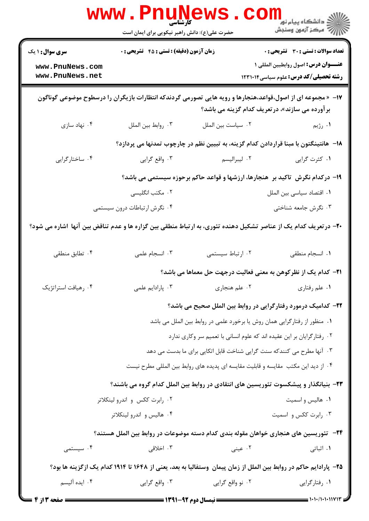|                                                                                                                 | www . Pnu<br>کارشناسی<br>حضرت علی(ع): دانش راهبر نیکویی برای ایمان است                                             |                                                                                      | ر دانشڪاه پيام نور ■<br>ا∛ مرڪز آزمون وسنڊش                                                                                                                                                                                                                                                                                                                                                                                 |
|-----------------------------------------------------------------------------------------------------------------|--------------------------------------------------------------------------------------------------------------------|--------------------------------------------------------------------------------------|-----------------------------------------------------------------------------------------------------------------------------------------------------------------------------------------------------------------------------------------------------------------------------------------------------------------------------------------------------------------------------------------------------------------------------|
| <b>سری سوال : ۱ یک</b>                                                                                          | <b>زمان آزمون (دقیقه) : تستی : 45 تشریحی : 0</b>                                                                   |                                                                                      | <b>تعداد سوالات : تستی : 30 - تشریحی : 0</b>                                                                                                                                                                                                                                                                                                                                                                                |
| www.PnuNews.com<br>www.PnuNews.net                                                                              |                                                                                                                    |                                                                                      | عنـــوان درس: اصول روابطبين المللي ١<br><b>رشته تحصیلی/کد درس:</b> علوم سیاسی1۲۳۱۰۱۴                                                                                                                                                                                                                                                                                                                                        |
|                                                                                                                 | ۱۷-  « مجموعه ای از اصول،قواعد،هنجارها و رویه هایی تصورمی گردندکه انتظارات بازیگران را درسطوح موضوعی گوناگون       | برآورده می سازند»، درتعریف کدام گزینه می باشد؟                                       |                                                                                                                                                                                                                                                                                                                                                                                                                             |
| ۰۴ نهاد سازی                                                                                                    | ٠٣ روابط بين الملل                                                                                                 | ٠٢ سياست بين الملل                                                                   | ۰۱ رژیم                                                                                                                                                                                                                                                                                                                                                                                                                     |
|                                                                                                                 |                                                                                                                    | ۱۸− هانتینگتون با مبنا قراردادن کدام گزینه، به تبیین نظم در چارچوب تمدنها می پردازد؟ |                                                                                                                                                                                                                                                                                                                                                                                                                             |
| ۰۴ ساختارگرایی                                                                                                  | ۰۳ واقع گرايي                                                                                                      | ۰۲ ليبراليسم                                                                         | ۰۱ کثرت گرایی                                                                                                                                                                                                                                                                                                                                                                                                               |
|                                                                                                                 |                                                                                                                    | ۱۹- درکدام نگرش  تاکید بر  هنجارها، ارزشها و قواعد حاکم برحوزه سیستمی می باشد؟       |                                                                                                                                                                                                                                                                                                                                                                                                                             |
|                                                                                                                 | ۰۲ مکتب انگلیسی                                                                                                    |                                                                                      | ٠١ اقتصاد سياسى بين الملل                                                                                                                                                                                                                                                                                                                                                                                                   |
|                                                                                                                 | ۰۴ نگرش ارتباطات درون سیستمی                                                                                       |                                                                                      | ۰۳ نگرش جامعه شناختی                                                                                                                                                                                                                                                                                                                                                                                                        |
| +۲- درتعریف کدام یک از عناصر تشکیل دهنده تئوری، به ارتباط منطقی بین گزاره ها و عدم تناقض بین آنها اشاره می شود؟ |                                                                                                                    |                                                                                      |                                                                                                                                                                                                                                                                                                                                                                                                                             |
| ۰۴ تطابق منطقی                                                                                                  | ۰۳ انسجام علمی                                                                                                     | ٠٢ ارتباط سيستمى                                                                     | ٠١. انسجام منطقى                                                                                                                                                                                                                                                                                                                                                                                                            |
|                                                                                                                 |                                                                                                                    | <b>۲۱</b> – کدام یک از نظرکوهن به معنی فعالیت درجهت حل معماها می باشد؟               |                                                                                                                                                                                                                                                                                                                                                                                                                             |
| ۰۴ رهیافت استراتژیک                                                                                             | ۰۳ پارادايم علمي                                                                                                   | ۰۲ علم هنجاری                                                                        | ۰۱ علم رفتاری                                                                                                                                                                                                                                                                                                                                                                                                               |
|                                                                                                                 |                                                                                                                    | ۲۲– کدامیک درمورد رفتارگرایی در روابط بین الملل صحیح می باشد؟                        |                                                                                                                                                                                                                                                                                                                                                                                                                             |
|                                                                                                                 |                                                                                                                    | ۰۱ منظور از رفتارگرایی همان روش یا برخورد علمی در روابط بین الملل می باشد            |                                                                                                                                                                                                                                                                                                                                                                                                                             |
|                                                                                                                 |                                                                                                                    | ۰۲ رفتارگرایان بر این عقیده اند که علوم انسانی با تعمیم سر وکاری ندارد               |                                                                                                                                                                                                                                                                                                                                                                                                                             |
|                                                                                                                 |                                                                                                                    | ۰۳ آنها مطرح می کنندکه سنت گرایی شناخت قابل اتکایی برای ما بدست می دهد               |                                                                                                                                                                                                                                                                                                                                                                                                                             |
|                                                                                                                 |                                                                                                                    | ۰۴ از دید این مکتب ًمقایسه و قابلیت مقایسه ای پدیده های روابط بین المللی مطرح نیست   |                                                                                                                                                                                                                                                                                                                                                                                                                             |
|                                                                                                                 | ۲۳– بنیانگذار و پیشکسوت تئوریسین های انتقادی در روابط بین الملل کدام گروه می باشند؟                                |                                                                                      |                                                                                                                                                                                                                                                                                                                                                                                                                             |
|                                                                                                                 | ۰۲ رابرت ککس و اندرو لینکلاتر                                                                                      |                                                                                      | ۰۱ هالیس و اسمیت                                                                                                                                                                                                                                                                                                                                                                                                            |
|                                                                                                                 | ۰۴ هالیس و اندرو لینکلاتر                                                                                          |                                                                                      | ۰۳ رابرت ککس و اسمیت                                                                                                                                                                                                                                                                                                                                                                                                        |
|                                                                                                                 | <b>۳۴</b> −   تئوریسین های هنجاری خواهان مقوله بندی کدام دسته موضوعات در روابط بین الملل هستند؟                    |                                                                                      |                                                                                                                                                                                                                                                                                                                                                                                                                             |
| ۰۴ سیستمی                                                                                                       | ۰۳ اخلاقی                                                                                                          | ۰۲ عینی                                                                              | ۰۱ اثباتی                                                                                                                                                                                                                                                                                                                                                                                                                   |
|                                                                                                                 | ۲۵– پارادایم حاکم در روابط بین الملل از زمان پیمان ۖ وستفالیا به بعد، یعنی از ۱۶۴۸ تا ۱۹۱۴ کدام یک ازگزینه ها بود؟ |                                                                                      |                                                                                                                                                                                                                                                                                                                                                                                                                             |
| ۰۴ ایده آلیسم                                                                                                   | ۰۳ واقع گرايي                                                                                                      | ۰۲ نو واقع گرايي                                                                     | ۰۱ رفتارگرایی                                                                                                                                                                                                                                                                                                                                                                                                               |
|                                                                                                                 | <b>ـــــــــــــــــ</b> نیمسال دوم ۰۹۲-۱۳۹۱ <b>ــــــــــــــــــ</b>                                             |                                                                                      | $\frac{1}{1 + \frac{1}{1 + \frac{1}{1 + \frac{1}{1 + \frac{1}{1 + \frac{1}{1 + \frac{1}{1 + \frac{1}{1 + \frac{1}{1 + \frac{1}{1 + \frac{1}{1 + \frac{1}{1 + \frac{1}{1 + \frac{1}{1 + \frac{1}{1 + \frac{1}{1 + \frac{1}{1 + \frac{1}{1 + \frac{1}{1 + \frac{1}{1 + \frac{1}{1 + \frac{1}{1 + \frac{1}{1 + \frac{1}{1 + \frac{1}{1 + \frac{1}{1 + \frac{1}{1 + \frac{1}{1 + \frac{1}{1 + \frac{1}{1 + \frac{1}{1 + \frac{$ |